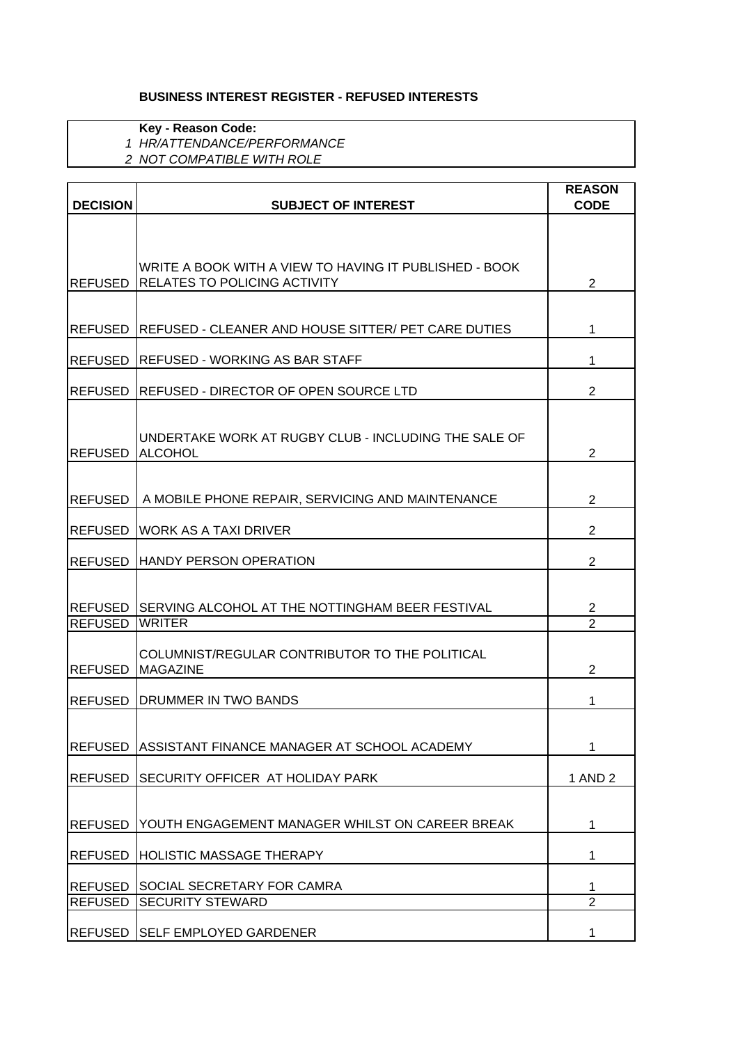## **BUSINESS INTEREST REGISTER - REFUSED INTERESTS**

**Key - Reason Code:**

*1 HR/ATTENDANCE/PERFORMANCE*

*2 NOT COMPATIBLE WITH ROLE*

|                                  |                                                                                               | <b>REASON</b>       |
|----------------------------------|-----------------------------------------------------------------------------------------------|---------------------|
| <b>DECISION</b>                  | <b>SUBJECT OF INTEREST</b>                                                                    | <b>CODE</b>         |
|                                  |                                                                                               |                     |
|                                  |                                                                                               |                     |
| <b>REFUSED</b>                   | WRITE A BOOK WITH A VIEW TO HAVING IT PUBLISHED - BOOK<br><b>RELATES TO POLICING ACTIVITY</b> | $\overline{2}$      |
|                                  |                                                                                               |                     |
|                                  |                                                                                               |                     |
| <b>REFUSED</b>                   | <b>REFUSED - CLEANER AND HOUSE SITTER/ PET CARE DUTIES</b>                                    | 1                   |
| <b>REFUSED</b>                   | REFUSED - WORKING AS BAR STAFF                                                                | 1                   |
|                                  |                                                                                               |                     |
| <b>REFUSED</b>                   | IREFUSED - DIRECTOR OF OPEN SOURCE LTD                                                        | $\overline{2}$      |
|                                  |                                                                                               |                     |
|                                  | UNDERTAKE WORK AT RUGBY CLUB - INCLUDING THE SALE OF                                          |                     |
| <b>REFUSED</b>                   | ALCOHOL                                                                                       | $\overline{2}$      |
|                                  |                                                                                               |                     |
| <b>REFUSED</b>                   | A MOBILE PHONE REPAIR, SERVICING AND MAINTENANCE                                              | 2                   |
| <b>REFUSED</b>                   | <b>WORK AS A TAXI DRIVER</b>                                                                  | $\overline{2}$      |
|                                  |                                                                                               |                     |
| <b>REFUSED</b>                   | <b>HANDY PERSON OPERATION</b>                                                                 | $\overline{2}$      |
|                                  |                                                                                               |                     |
|                                  | REFUSED SERVING ALCOHOL AT THE NOTTINGHAM BEER FESTIVAL                                       | $\overline{2}$      |
| <b>REFUSED</b>                   | <b>WRITER</b>                                                                                 | $\overline{2}$      |
|                                  | COLUMNIST/REGULAR CONTRIBUTOR TO THE POLITICAL                                                |                     |
| <b>REFUSED</b>                   | <b>MAGAZINE</b>                                                                               | 2                   |
|                                  |                                                                                               |                     |
| <b>REFUSED</b>                   | <b>DRUMMER IN TWO BANDS</b>                                                                   | 1                   |
|                                  |                                                                                               |                     |
|                                  | REFUSED ASSISTANT FINANCE MANAGER AT SCHOOL ACADEMY                                           | 1                   |
| <b>REFUSED</b>                   | <b>SECURITY OFFICER AT HOLIDAY PARK</b>                                                       | 1 AND 2             |
|                                  |                                                                                               |                     |
|                                  |                                                                                               |                     |
| <b>REFUSED</b>                   | YOUTH ENGAGEMENT MANAGER WHILST ON CAREER BREAK                                               | 1                   |
| <b>REFUSED</b>                   | <b>HOLISTIC MASSAGE THERAPY</b>                                                               | 1                   |
|                                  |                                                                                               |                     |
| <b>REFUSED</b><br><b>REFUSED</b> | SOCIAL SECRETARY FOR CAMRA<br><b>SECURITY STEWARD</b>                                         | 1<br>$\overline{2}$ |
|                                  |                                                                                               |                     |
| <b>REFUSED</b>                   | <b>SELF EMPLOYED GARDENER</b>                                                                 | 1                   |